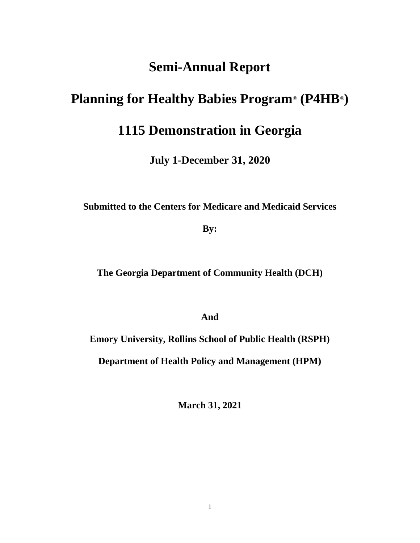# **Semi-Annual Report**

# **Planning for Healthy Babies Program**® **(P4HB**®**)**

# **1115 Demonstration in Georgia**

**July 1-December 31, 2020**

**Submitted to the Centers for Medicare and Medicaid Services**

**By:**

**The Georgia Department of Community Health (DCH)**

**And**

**Emory University, Rollins School of Public Health (RSPH)**

**Department of Health Policy and Management (HPM)**

**March 31, 2021**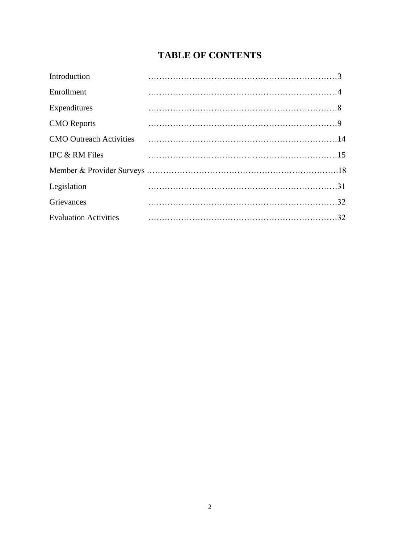# **TABLE OF CONTENTS**

| Introduction                   |  |
|--------------------------------|--|
| Enrollment                     |  |
| Expenditures                   |  |
| <b>CMO</b> Reports             |  |
| <b>CMO</b> Outreach Activities |  |
| IPC & RM Files                 |  |
|                                |  |
| Legislation                    |  |
| Grievances                     |  |
| <b>Evaluation Activities</b>   |  |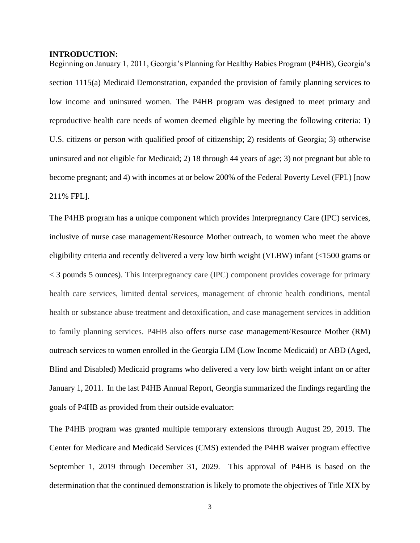# **INTRODUCTION:**

Beginning on January 1, 2011, Georgia's Planning for Healthy Babies Program (P4HB), Georgia's section 1115(a) Medicaid Demonstration, expanded the provision of family planning services to low income and uninsured women. The P4HB program was designed to meet primary and reproductive health care needs of women deemed eligible by meeting the following criteria: 1) U.S. citizens or person with qualified proof of citizenship; 2) residents of Georgia; 3) otherwise uninsured and not eligible for Medicaid; 2) 18 through 44 years of age; 3) not pregnant but able to become pregnant; and 4) with incomes at or below 200% of the Federal Poverty Level (FPL) [now 211% FPL].

The P4HB program has a unique component which provides Interpregnancy Care (IPC) services, inclusive of nurse case management/Resource Mother outreach, to women who meet the above eligibility criteria and recently delivered a very low birth weight (VLBW) infant (<1500 grams or < 3 pounds 5 ounces). This Interpregnancy care (IPC) component provides coverage for primary health care services, limited dental services, management of chronic health conditions, mental health or substance abuse treatment and detoxification, and case management services in addition to family planning services. P4HB also offers nurse case management/Resource Mother (RM) outreach services to women enrolled in the Georgia LIM (Low Income Medicaid) or ABD (Aged, Blind and Disabled) Medicaid programs who delivered a very low birth weight infant on or after January 1, 2011. In the last P4HB Annual Report, Georgia summarized the findings regarding the goals of P4HB as provided from their outside evaluator:

The P4HB program was granted multiple temporary extensions through August 29, 2019. The Center for Medicare and Medicaid Services (CMS) extended the P4HB waiver program effective September 1, 2019 through December 31, 2029. This approval of P4HB is based on the determination that the continued demonstration is likely to promote the objectives of Title XIX by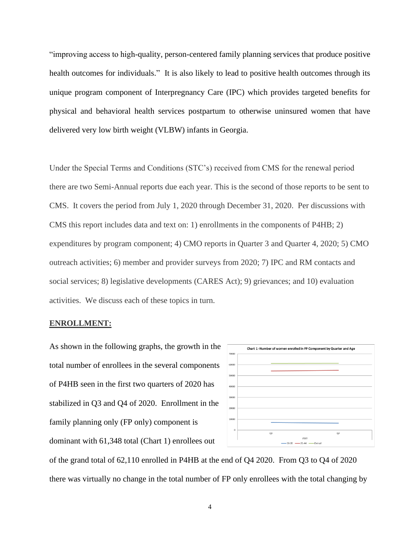"improving access to high-quality, person-centered family planning services that produce positive health outcomes for individuals." It is also likely to lead to positive health outcomes through its unique program component of Interpregnancy Care (IPC) which provides targeted benefits for physical and behavioral health services postpartum to otherwise uninsured women that have delivered very low birth weight (VLBW) infants in Georgia.

Under the Special Terms and Conditions (STC's) received from CMS for the renewal period there are two Semi-Annual reports due each year. This is the second of those reports to be sent to CMS. It covers the period from July 1, 2020 through December 31, 2020. Per discussions with CMS this report includes data and text on: 1) enrollments in the components of P4HB; 2) expenditures by program component; 4) CMO reports in Quarter 3 and Quarter 4, 2020; 5) CMO outreach activities; 6) member and provider surveys from 2020; 7) IPC and RM contacts and social services; 8) legislative developments (CARES Act); 9) grievances; and 10) evaluation activities. We discuss each of these topics in turn.

### **ENROLLMENT:**

As shown in the following graphs, the growth in the total number of enrollees in the several components of P4HB seen in the first two quarters of 2020 has stabilized in Q3 and Q4 of 2020. Enrollment in the family planning only (FP only) component is dominant with 61,348 total (Chart 1) enrollees out



of the grand total of 62,110 enrolled in P4HB at the end of Q4 2020. From Q3 to Q4 of 2020 there was virtually no change in the total number of FP only enrollees with the total changing by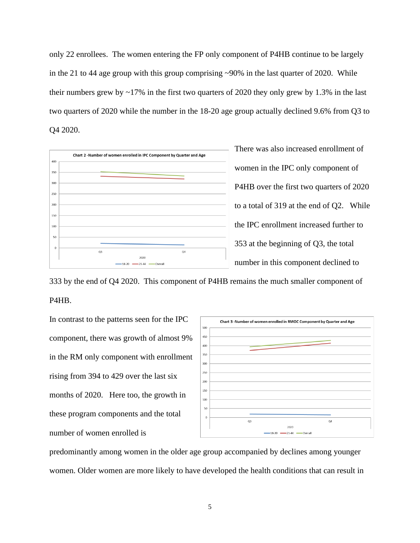only 22 enrollees. The women entering the FP only component of P4HB continue to be largely in the 21 to 44 age group with this group comprising ~90% in the last quarter of 2020. While their numbers grew by  $\sim$ 17% in the first two quarters of 2020 they only grew by 1.3% in the last two quarters of 2020 while the number in the 18-20 age group actually declined 9.6% from Q3 to Q4 2020.



There was also increased enrollment of women in the IPC only component of P4HB over the first two quarters of 2020 to a total of 319 at the end of Q2. While the IPC enrollment increased further to 353 at the beginning of Q3, the total number in this component declined to

333 by the end of Q4 2020. This component of P4HB remains the much smaller component of P4HB.

In contrast to the patterns seen for the IPC component, there was growth of almost 9% in the RM only component with enrollment rising from 394 to 429 over the last six months of 2020. Here too, the growth in these program components and the total number of women enrolled is



predominantly among women in the older age group accompanied by declines among younger women. Older women are more likely to have developed the health conditions that can result in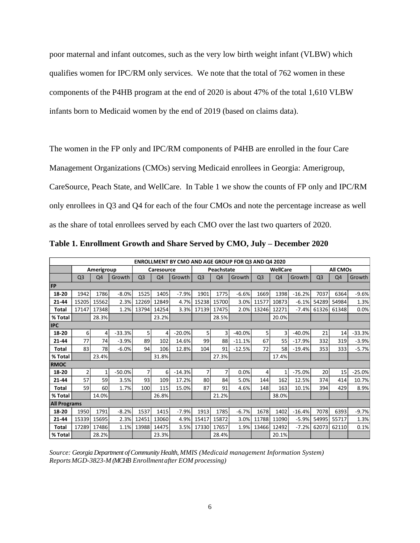poor maternal and infant outcomes, such as the very low birth weight infant (VLBW) which qualifies women for IPC/RM only services. We note that the total of 762 women in these components of the P4HB program at the end of 2020 is about 47% of the total 1,610 VLBW infants born to Medicaid women by the end of 2019 (based on claims data).

The women in the FP only and IPC/RM components of P4HB are enrolled in the four Care

Management Organizations (CMOs) serving Medicaid enrollees in Georgia: Amerigroup,

CareSource, Peach State, and WellCare. In Table 1 we show the counts of FP only and IPC/RM

only enrollees in Q3 and Q4 for each of the four CMOs and note the percentage increase as well

as the share of total enrollees served by each CMO over the last two quarters of 2020.

| <b>ENROLLMENT BY CMO AND AGE GROUP FOR Q3 AND Q4 2020</b> |                |            |          |                |            |          |                |            |          |                |                 |          |                |          |          |
|-----------------------------------------------------------|----------------|------------|----------|----------------|------------|----------|----------------|------------|----------|----------------|-----------------|----------|----------------|----------|----------|
|                                                           |                | Amerigroup |          |                | Caresource |          |                | Peachstate |          |                | <b>WellCare</b> |          |                | All CMOs |          |
|                                                           | Q <sub>3</sub> | Q4         | Growth   | Q <sub>3</sub> | Q4         | Growth   | Q <sub>3</sub> | Q4         | Growth   | Q <sub>3</sub> | Q4              | Growth   | Q <sub>3</sub> | Q4       | Growth   |
| <b>FP</b>                                                 |                |            |          |                |            |          |                |            |          |                |                 |          |                |          |          |
| 18-20                                                     | 1942           | 1786       | $-8.0%$  | 1525           | 1405       | $-7.9%$  | 1901           | 1775       | $-6.6%$  | 1669           | 1398            | $-16.2%$ | 7037           | 6364     | $-9.6%$  |
| $21 - 44$                                                 | 15205          | 15562      | 2.3%     | 12269          | 12849      | 4.7%     | 15238          | 15700      | 3.0%     | 11577          | 10873           | $-6.1%$  | 54289          | 54984    | 1.3%     |
| <b>Total</b>                                              | 17147          | 17348      | 1.2%     | 13794          | 14254      | 3.3%     | 17139          | 17475      | 2.0%     | 13246          | 12271           | $-7.4%$  | 61326          | 61348    | 0.0%     |
| % Total                                                   |                | 28.3%      |          |                | 23.2%      |          |                | 28.5%      |          |                | 20.0%           |          |                |          |          |
| <b>IPC</b>                                                |                |            |          |                |            |          |                |            |          |                |                 |          |                |          |          |
| 18-20                                                     | $6 \mid$       | 4          | $-33.3%$ | 5 <sup>1</sup> | 4          | $-20.0%$ | 5 <sup>1</sup> | 3          | $-40.0%$ | 5              | 3               | $-40.0%$ | 21             | 14       | $-33.3%$ |
| $21 - 44$                                                 | 77             | 74         | $-3.9%$  | 89             | 102        | 14.6%    | 99             | 88         | $-11.1%$ | 67             | 55              | $-17.9%$ | 332            | 319      | $-3.9%$  |
| Total                                                     | 83             | 78         | $-6.0%$  | 94             | 106        | 12.8%    | 104            | 91         | $-12.5%$ | 72             | 58              | $-19.4%$ | 353            | 333      | $-5.7%$  |
| % Total                                                   |                | 23.4%      |          |                | 31.8%      |          |                | 27.3%      |          |                | 17.4%           |          |                |          |          |
| <b>RMOC</b>                                               |                |            |          |                |            |          |                |            |          |                |                 |          |                |          |          |
| 18-20                                                     | 2              | 1          | $-50.0%$ | $\overline{7}$ | 6          | $-14.3%$ | 7              | 7          | 0.0%     | 4              | 1               | $-75.0%$ | 20             | 15       | $-25.0%$ |
| $21 - 44$                                                 | 57             | 59         | 3.5%     | 93             | 109        | 17.2%    | 80             | 84         | 5.0%     | 144            | 162             | 12.5%    | 374            | 414      | 10.7%    |
| Total                                                     | 59             | 60         | 1.7%     | 100            | 115        | 15.0%    | 87             | 91         | 4.6%     | 148            | 163             | 10.1%    | 394            | 429      | 8.9%     |
| % Total                                                   |                | 14.0%      |          |                | 26.8%      |          |                | 21.2%      |          |                | 38.0%           |          |                |          |          |
| <b>All Programs</b>                                       |                |            |          |                |            |          |                |            |          |                |                 |          |                |          |          |
| 18-20                                                     | 1950           | 1791       | $-8.2%$  | 1537           | 1415       | $-7.9%$  | 1913           | 1785       | $-6.7%$  | 1678           | 1402            | $-16.4%$ | 7078           | 6393     | $-9.7%$  |
| $21 - 44$                                                 | 15339          | 15695      | 2.3%     | 12451          | 13060      | 4.9%     | 15417          | 15872      | 3.0%     | 11788          | 11090           | $-5.9%$  | 54995          | 55717    | 1.3%     |
| Total                                                     | 17289          | 17486      | 1.1%     | 13988          | 14475      | 3.5%     | 17330          | 17657      | 1.9%     | 13466          | 12492           | $-7.2%$  | 62073          | 62110    | 0.1%     |
| % Total                                                   |                | 28.2%      |          |                | 23.3%      |          |                | 28.4%      |          |                | 20.1%           |          |                |          |          |

**Table 1. Enrollment Growth and Share Served by CMO, July – December 2020** 

*Source: Georgia Department of Community Health, MMIS (Medicaid management Information System) ReportsMGD-3823-M (MCHB Enrollment after EOM processing)*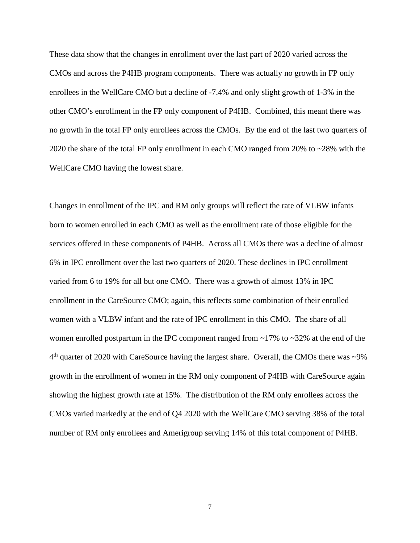These data show that the changes in enrollment over the last part of 2020 varied across the CMOs and across the P4HB program components. There was actually no growth in FP only enrollees in the WellCare CMO but a decline of -7.4% and only slight growth of 1-3% in the other CMO's enrollment in the FP only component of P4HB. Combined, this meant there was no growth in the total FP only enrollees across the CMOs. By the end of the last two quarters of 2020 the share of the total FP only enrollment in each CMO ranged from 20% to ~28% with the WellCare CMO having the lowest share.

Changes in enrollment of the IPC and RM only groups will reflect the rate of VLBW infants born to women enrolled in each CMO as well as the enrollment rate of those eligible for the services offered in these components of P4HB. Across all CMOs there was a decline of almost 6% in IPC enrollment over the last two quarters of 2020. These declines in IPC enrollment varied from 6 to 19% for all but one CMO. There was a growth of almost 13% in IPC enrollment in the CareSource CMO; again, this reflects some combination of their enrolled women with a VLBW infant and the rate of IPC enrollment in this CMO. The share of all women enrolled postpartum in the IPC component ranged from  $\sim$ 17% to  $\sim$ 32% at the end of the  $4<sup>th</sup>$  quarter of 2020 with CareSource having the largest share. Overall, the CMOs there was ~9% growth in the enrollment of women in the RM only component of P4HB with CareSource again showing the highest growth rate at 15%. The distribution of the RM only enrollees across the CMOs varied markedly at the end of Q4 2020 with the WellCare CMO serving 38% of the total number of RM only enrollees and Amerigroup serving 14% of this total component of P4HB.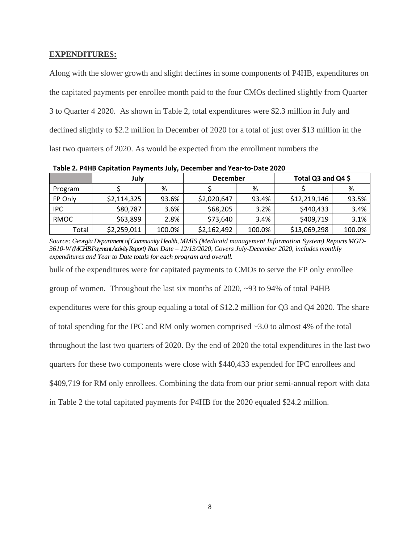# **EXPENDITURES:**

Along with the slower growth and slight declines in some components of P4HB, expenditures on the capitated payments per enrollee month paid to the four CMOs declined slightly from Quarter 3 to Quarter 4 2020. As shown in Table 2, total expenditures were \$2.3 million in July and declined slightly to \$2.2 million in December of 2020 for a total of just over \$13 million in the last two quarters of 2020. As would be expected from the enrollment numbers the

**July December Total Q3 and Q4 \$** Program | \$ | % | \$ | % | \$ | % FP Only  $\begin{array}{|c|c|c|c|c|c|c|c|} \hline \text{$52,114,325$} & \text{~93.6\%} & \text{~$52,020,647$} & \text{~93.4\%} & \text{~$512,219,146$} & \text{~93.5\%} \\ \hline \end{array}$ IPC | \$80,787 | 3.6% | \$68,205 | 3.2% | \$440,433 | 3.4% RMOC | \$63,899 | 2.8% | \$73,640 | 3.4% | \$409,719 | 3.1% Total  $\vert$  \$2,259,011 100.0% \$2,162,492 100.0% \$13,069,298 100.0%

**Table 2. P4HB Capitation Payments July, December and Year-to-Date 2020**

*Source: Georgia Department of Community Health, MMIS (Medicaid management Information System) ReportsMGD-3610-W (MCHBPayment Activity Report) Run Date – 12/13/2020, Covers July-December 2020, includes monthly expenditures and Year to Date totals for each program and overall.*

bulk of the expenditures were for capitated payments to CMOs to serve the FP only enrollee

group of women. Throughout the last six months of 2020, ~93 to 94% of total P4HB

expenditures were for this group equaling a total of \$12.2 million for Q3 and Q4 2020. The share

of total spending for the IPC and RM only women comprised ~3.0 to almost 4% of the total

throughout the last two quarters of 2020. By the end of 2020 the total expenditures in the last two

quarters for these two components were close with \$440,433 expended for IPC enrollees and

\$409,719 for RM only enrollees. Combining the data from our prior semi-annual report with data

in Table 2 the total capitated payments for P4HB for the 2020 equaled \$24.2 million.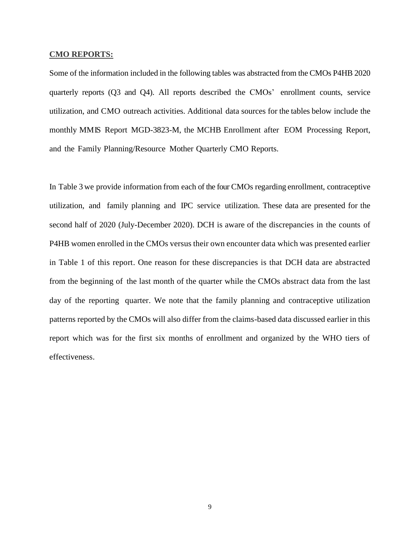### **CMO REPORTS:**

Some of the information included in the following tables was abstracted from the CMOs P4HB 2020 quarterly reports (Q3 and Q4). All reports described the CMOs' enrollment counts, service utilization, and CMO outreach activities. Additional data sources for the tables below include the monthly MMIS Report MGD-3823-M, the MCHB Enrollment after EOM Processing Report, and the Family Planning/Resource Mother Quarterly CMO Reports.

In Table 3 we provide information from each of the four CMOs regarding enrollment, contraceptive utilization, and family planning and IPC service utilization. These data are presented for the second half of 2020 (July-December 2020). DCH is aware of the discrepancies in the counts of P4HB women enrolled in the CMOs versus their own encounter data which was presented earlier in Table 1 of this report. One reason for these discrepancies is that DCH data are abstracted from the beginning of the last month of the quarter while the CMOs abstract data from the last day of the reporting quarter. We note that the family planning and contraceptive utilization patterns reported by the CMOs will also differ from the claims-based data discussed earlier in this report which was for the first six months of enrollment and organized by the WHO tiers of effectiveness.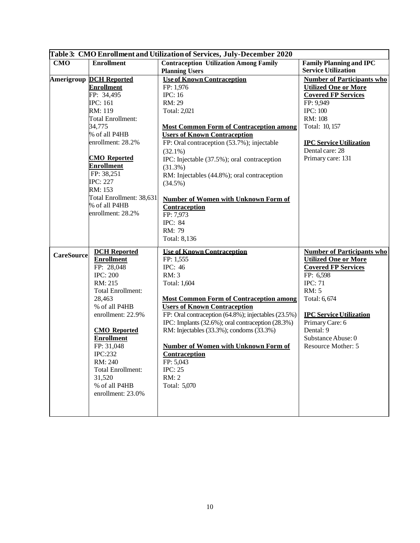|                   | Table 3: CMO Enrollment and Utilization of Services, July-December 2020 |                                                     |                                   |  |  |  |  |
|-------------------|-------------------------------------------------------------------------|-----------------------------------------------------|-----------------------------------|--|--|--|--|
| <b>CMO</b>        | <b>Enrollment</b>                                                       | <b>Contraception Utilization Among Family</b>       | <b>Family Planning and IPC</b>    |  |  |  |  |
|                   |                                                                         | <b>Planning Users</b>                               | <b>Service Utilization</b>        |  |  |  |  |
|                   | <b>Amerigroup DCH Reported</b>                                          | <b>Use of Known Contraception</b>                   | <b>Number of Participants who</b> |  |  |  |  |
|                   | <b>Enrollment</b>                                                       | FP: 1,976                                           | <b>Utilized One or More</b>       |  |  |  |  |
|                   | FP: 34,495                                                              | <b>IPC: 16</b>                                      | <b>Covered FP Services</b>        |  |  |  |  |
|                   | <b>IPC</b> : 161                                                        | RM: 29                                              | FP: 9,949                         |  |  |  |  |
|                   | RM: 119                                                                 | Total: 2,021                                        | <b>IPC: 100</b>                   |  |  |  |  |
|                   | <b>Total Enrollment:</b>                                                |                                                     | RM: 108                           |  |  |  |  |
|                   | 34,775                                                                  | <b>Most Common Form of Contraception among</b>      | Total: 10, 157                    |  |  |  |  |
|                   | % of all P4HB                                                           | <b>Users of Known Contraception</b>                 |                                   |  |  |  |  |
|                   | enrollment: 28.2%                                                       | FP: Oral contraception (53.7%); injectable          | <b>IPC Service Utilization</b>    |  |  |  |  |
|                   |                                                                         | $(32.1\%)$                                          | Dental care: 28                   |  |  |  |  |
|                   | <b>CMO</b> Reported                                                     | IPC: Injectable (37.5%); oral contraception         | Primary care: 131                 |  |  |  |  |
|                   | <b>Enrollment</b>                                                       | $(31.3\%)$                                          |                                   |  |  |  |  |
|                   | FP: 38,251                                                              | RM: Injectables (44.8%); oral contraception         |                                   |  |  |  |  |
|                   | <b>IPC</b> : 227                                                        | $(34.5\%)$                                          |                                   |  |  |  |  |
|                   | RM: 153                                                                 |                                                     |                                   |  |  |  |  |
|                   | Total Enrollment: 38,631                                                | Number of Women with Unknown Form of                |                                   |  |  |  |  |
|                   | % of all P4HB                                                           | Contraception                                       |                                   |  |  |  |  |
|                   | enrollment: 28.2%                                                       | FP: 7,973                                           |                                   |  |  |  |  |
|                   |                                                                         | <b>IPC: 84</b>                                      |                                   |  |  |  |  |
|                   |                                                                         | RM: 79                                              |                                   |  |  |  |  |
|                   |                                                                         | Total: 8,136                                        |                                   |  |  |  |  |
| <b>CareSource</b> | <b>DCH</b> Reported                                                     | <b>Use of Known Contraception</b>                   | <b>Number of Participants who</b> |  |  |  |  |
|                   | <b>Enrollment</b>                                                       | FP: 1,555                                           | <b>Utilized One or More</b>       |  |  |  |  |
|                   | FP: 28,048                                                              | <b>IPC: 46</b>                                      | <b>Covered FP Services</b>        |  |  |  |  |
|                   | <b>IPC: 200</b>                                                         | RM:3                                                | FP: 6,598                         |  |  |  |  |
|                   | RM: 215                                                                 | Total: 1,604                                        | <b>IPC: 71</b>                    |  |  |  |  |
|                   | <b>Total Enrollment:</b>                                                |                                                     | RM: 5                             |  |  |  |  |
|                   | 28,463                                                                  | <b>Most Common Form of Contraception among</b>      | Total: 6, 674                     |  |  |  |  |
|                   | % of all P4HB                                                           | <b>Users of Known Contraception</b>                 |                                   |  |  |  |  |
|                   | enrollment: 22.9%                                                       | FP: Oral contraception (64.8%); injectables (23.5%) | <b>IPC Service Utilization</b>    |  |  |  |  |
|                   |                                                                         | IPC: Implants (32.6%); oral contraception (28.3%)   | Primary Care: 6                   |  |  |  |  |
|                   | <b>CMO</b> Reported                                                     | RM: Injectables (33.3%); condoms (33.3%)            | Dental: 9                         |  |  |  |  |
|                   | <b>Enrollment</b>                                                       |                                                     | Substance Abuse: 0                |  |  |  |  |
|                   | FP: 31,048                                                              | Number of Women with Unknown Form of                | Resource Mother: 5                |  |  |  |  |
|                   | IPC:232                                                                 | Contraception                                       |                                   |  |  |  |  |
|                   | RM: 240                                                                 | FP: 5,043                                           |                                   |  |  |  |  |
|                   | <b>Total Enrollment:</b>                                                | <b>IPC: 25</b>                                      |                                   |  |  |  |  |
|                   | 31,520                                                                  | RM: 2                                               |                                   |  |  |  |  |
|                   | % of all P4HB                                                           | Total: 5,070                                        |                                   |  |  |  |  |
|                   | enrollment: 23.0%                                                       |                                                     |                                   |  |  |  |  |
|                   |                                                                         |                                                     |                                   |  |  |  |  |
|                   |                                                                         |                                                     |                                   |  |  |  |  |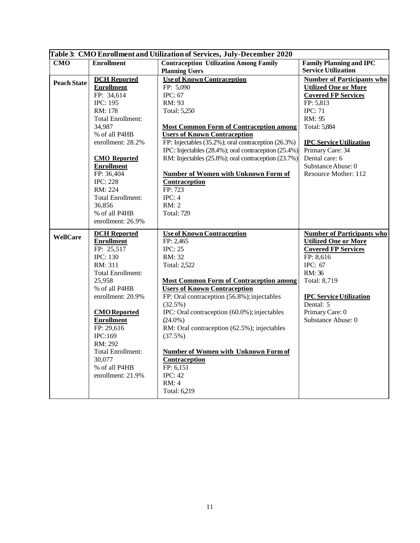|                    | Table 3: CMO Enrollment and Utilization of Services, July-December 2020 |                                                      |                                   |  |  |  |
|--------------------|-------------------------------------------------------------------------|------------------------------------------------------|-----------------------------------|--|--|--|
| <b>CMO</b>         | <b>Enrollment</b>                                                       | <b>Contraception Utilization Among Family</b>        | <b>Family Planning and IPC</b>    |  |  |  |
|                    |                                                                         | <b>Planning Users</b>                                | <b>Service Utilization</b>        |  |  |  |
| <b>Peach State</b> | <b>DCH</b> Reported                                                     | <b>Use of Known Contraception</b>                    | <b>Number of Participants who</b> |  |  |  |
|                    | <b>Enrollment</b>                                                       | FP: 5,090                                            | <b>Utilized One or More</b>       |  |  |  |
|                    | FP: 34,614                                                              | IPC: 67                                              | <b>Covered FP Services</b>        |  |  |  |
|                    | <b>IPC: 195</b>                                                         | RM: 93                                               | FP: 5,813                         |  |  |  |
|                    | RM: 178                                                                 | Total: 5,250                                         | <b>IPC: 71</b>                    |  |  |  |
|                    | <b>Total Enrollment:</b>                                                |                                                      | RM: 95                            |  |  |  |
|                    | 34,987                                                                  | <b>Most Common Form of Contraception among</b>       | Total: 5,884                      |  |  |  |
|                    | % of all P4HB                                                           | <b>Users of Known Contraception</b>                  |                                   |  |  |  |
|                    | enrollment: 28.2%                                                       | FP: Injectables (35.2%); oral contraception (26.3%)  | <b>IPC Service Utilization</b>    |  |  |  |
|                    |                                                                         | IPC: Injectables (28.4%); oral contraception (25.4%) | Primary Care: 34                  |  |  |  |
|                    | <b>CMO</b> Reported                                                     | RM: Injectables (25.8%); oral contraception (23.7%)  | Dental care: 6                    |  |  |  |
|                    | <b>Enrollment</b>                                                       |                                                      | Substance Abuse: 0                |  |  |  |
|                    | FP: 36,404                                                              | <b>Number of Women with Unknown Form of</b>          | Resource Mother: 112              |  |  |  |
|                    | <b>IPC: 228</b>                                                         | Contraception                                        |                                   |  |  |  |
|                    | RM: 224                                                                 | FP: 723                                              |                                   |  |  |  |
|                    | <b>Total Enrollment:</b>                                                | IPC: 4                                               |                                   |  |  |  |
|                    | 36,856                                                                  | <b>RM</b> : 2                                        |                                   |  |  |  |
|                    | % of all P4HB                                                           | <b>Total: 729</b>                                    |                                   |  |  |  |
|                    | enrollment: 26.9%                                                       |                                                      |                                   |  |  |  |
| <b>WellCare</b>    | <b>DCH</b> Reported                                                     | <b>Use of Known Contraception</b>                    | <b>Number of Participants who</b> |  |  |  |
|                    | <b>Enrollment</b>                                                       | FP: 2,465                                            | <b>Utilized One or More</b>       |  |  |  |
|                    | FP: 25,517                                                              | <b>IPC: 25</b>                                       | <b>Covered FP Services</b>        |  |  |  |
|                    | <b>IPC: 130</b>                                                         | RM: 32                                               | FP: 8,616                         |  |  |  |
|                    | RM: 311                                                                 | Total: 2,522                                         | IPC: 67                           |  |  |  |
|                    | <b>Total Enrollment:</b>                                                |                                                      | RM: 36                            |  |  |  |
|                    | 25,958                                                                  | <b>Most Common Form of Contraception among</b>       | Total: 8,719                      |  |  |  |
|                    | % of all P4HB                                                           | <b>Users of Known Contraception</b>                  |                                   |  |  |  |
|                    | enrollment: 20.9%                                                       | FP: Oral contraception (56.8%); injectables          | <b>IPC Service Utilization</b>    |  |  |  |
|                    |                                                                         | $(32.5\%)$                                           | Dental: 5                         |  |  |  |
|                    | <b>CMO</b> Reported                                                     | IPC: Oral contraception (60.0%); injectables         | Primary Care: 0                   |  |  |  |
|                    | <b>Enrollment</b>                                                       | $(24.0\%)$                                           | Substance Abuse: 0                |  |  |  |
|                    | FP: 29,616                                                              | RM: Oral contraception (62.5%); injectables          |                                   |  |  |  |
|                    | IPC:169                                                                 | (37.5%)                                              |                                   |  |  |  |
|                    | RM: 292                                                                 |                                                      |                                   |  |  |  |
|                    | <b>Total Enrollment:</b><br>30,077                                      | <b>Number of Women with Unknown Form of</b>          |                                   |  |  |  |
|                    | % of all P4HB                                                           | <b>Contraception</b><br>FP: 6,151                    |                                   |  |  |  |
|                    |                                                                         | <b>IPC: 42</b>                                       |                                   |  |  |  |
|                    | enrollment: 21.9%                                                       | RM: 4                                                |                                   |  |  |  |
|                    |                                                                         | Total: 6,219                                         |                                   |  |  |  |
|                    |                                                                         |                                                      |                                   |  |  |  |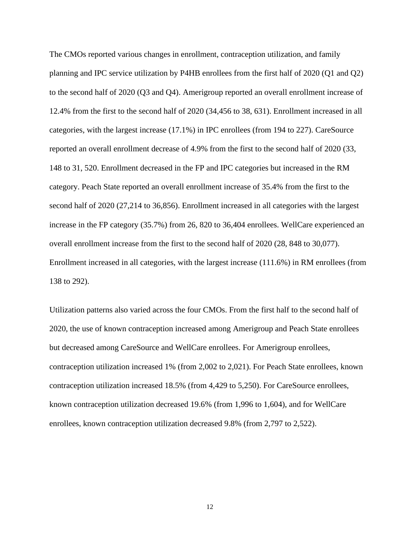The CMOs reported various changes in enrollment, contraception utilization, and family planning and IPC service utilization by P4HB enrollees from the first half of 2020 (Q1 and Q2) to the second half of 2020 (Q3 and Q4). Amerigroup reported an overall enrollment increase of 12.4% from the first to the second half of 2020 (34,456 to 38, 631). Enrollment increased in all categories, with the largest increase (17.1%) in IPC enrollees (from 194 to 227). CareSource reported an overall enrollment decrease of 4.9% from the first to the second half of 2020 (33, 148 to 31, 520. Enrollment decreased in the FP and IPC categories but increased in the RM category. Peach State reported an overall enrollment increase of 35.4% from the first to the second half of 2020 (27,214 to 36,856). Enrollment increased in all categories with the largest increase in the FP category (35.7%) from 26, 820 to 36,404 enrollees. WellCare experienced an overall enrollment increase from the first to the second half of 2020 (28, 848 to 30,077). Enrollment increased in all categories, with the largest increase (111.6%) in RM enrollees (from 138 to 292).

Utilization patterns also varied across the four CMOs. From the first half to the second half of 2020, the use of known contraception increased among Amerigroup and Peach State enrollees but decreased among CareSource and WellCare enrollees. For Amerigroup enrollees, contraception utilization increased 1% (from 2,002 to 2,021). For Peach State enrollees, known contraception utilization increased 18.5% (from 4,429 to 5,250). For CareSource enrollees, known contraception utilization decreased 19.6% (from 1,996 to 1,604), and for WellCare enrollees, known contraception utilization decreased 9.8% (from 2,797 to 2,522).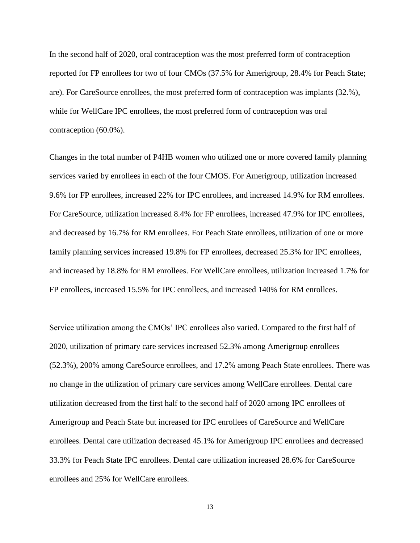In the second half of 2020, oral contraception was the most preferred form of contraception reported for FP enrollees for two of four CMOs (37.5% for Amerigroup, 28.4% for Peach State; are). For CareSource enrollees, the most preferred form of contraception was implants (32.%), while for WellCare IPC enrollees, the most preferred form of contraception was oral contraception (60.0%).

Changes in the total number of P4HB women who utilized one or more covered family planning services varied by enrollees in each of the four CMOS. For Amerigroup, utilization increased 9.6% for FP enrollees, increased 22% for IPC enrollees, and increased 14.9% for RM enrollees. For CareSource, utilization increased 8.4% for FP enrollees, increased 47.9% for IPC enrollees, and decreased by 16.7% for RM enrollees. For Peach State enrollees, utilization of one or more family planning services increased 19.8% for FP enrollees, decreased 25.3% for IPC enrollees, and increased by 18.8% for RM enrollees. For WellCare enrollees, utilization increased 1.7% for FP enrollees, increased 15.5% for IPC enrollees, and increased 140% for RM enrollees.

Service utilization among the CMOs' IPC enrollees also varied. Compared to the first half of 2020, utilization of primary care services increased 52.3% among Amerigroup enrollees (52.3%), 200% among CareSource enrollees, and 17.2% among Peach State enrollees. There was no change in the utilization of primary care services among WellCare enrollees. Dental care utilization decreased from the first half to the second half of 2020 among IPC enrollees of Amerigroup and Peach State but increased for IPC enrollees of CareSource and WellCare enrollees. Dental care utilization decreased 45.1% for Amerigroup IPC enrollees and decreased 33.3% for Peach State IPC enrollees. Dental care utilization increased 28.6% for CareSource enrollees and 25% for WellCare enrollees.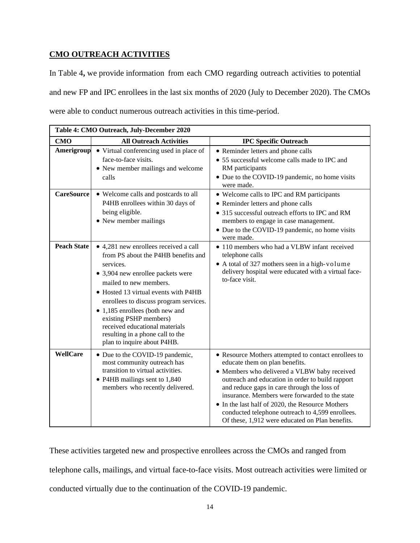# **CMO OUTREACH ACTIVITIES**

In Table 4**,** we provide information from each CMO regarding outreach activities to potential and new FP and IPC enrollees in the last six months of 2020 (July to December 2020). The CMOs were able to conduct numerous outreach activities in this time-period.

| Table 4: CMO Outreach, July-December 2020 |                                                                                                                                                                                                                                                                                                                                                                                                              |                                                                                                                                                                                                                                                                                                                                                                                                                                                        |  |  |  |
|-------------------------------------------|--------------------------------------------------------------------------------------------------------------------------------------------------------------------------------------------------------------------------------------------------------------------------------------------------------------------------------------------------------------------------------------------------------------|--------------------------------------------------------------------------------------------------------------------------------------------------------------------------------------------------------------------------------------------------------------------------------------------------------------------------------------------------------------------------------------------------------------------------------------------------------|--|--|--|
| <b>CMO</b>                                | <b>All Outreach Activities</b>                                                                                                                                                                                                                                                                                                                                                                               | <b>IPC Specific Outreach</b>                                                                                                                                                                                                                                                                                                                                                                                                                           |  |  |  |
| Amerigroup                                | • Virtual conferencing used in place of<br>face-to-face visits.<br>• New member mailings and welcome<br>calls                                                                                                                                                                                                                                                                                                | • Reminder letters and phone calls<br>• 55 successful welcome calls made to IPC and<br>RM participants<br>• Due to the COVID-19 pandemic, no home visits<br>were made.                                                                                                                                                                                                                                                                                 |  |  |  |
| <b>CareSource</b>                         | • Welcome calls and postcards to all<br>P4HB enrollees within 30 days of<br>being eligible.<br>• New member mailings                                                                                                                                                                                                                                                                                         | • Welcome calls to IPC and RM participants<br>• Reminder letters and phone calls<br>• 315 successful outreach efforts to IPC and RM<br>members to engage in case management.<br>• Due to the COVID-19 pandemic, no home visits<br>were made.                                                                                                                                                                                                           |  |  |  |
| <b>Peach State</b>                        | • 4,281 new enrollees received a call<br>from PS about the P4HB benefits and<br>services.<br>• 3,904 new enrollee packets were<br>mailed to new members.<br>• Hosted 13 virtual events with P4HB<br>enrollees to discuss program services.<br>• 1,185 enrollees (both new and<br>existing PSHP members)<br>received educational materials<br>resulting in a phone call to the<br>plan to inquire about P4HB. | • 110 members who had a VLBW infant received<br>telephone calls<br>• A total of 327 mothers seen in a high-volume<br>delivery hospital were educated with a virtual face-<br>to-face visit.                                                                                                                                                                                                                                                            |  |  |  |
| <b>WellCare</b>                           | • Due to the COVID-19 pandemic,<br>most community outreach has<br>transition to virtual activities.<br>• P4HB mailings sent to 1,840<br>members who recently delivered.                                                                                                                                                                                                                                      | • Resource Mothers attempted to contact enrollees to<br>educate them on plan benefits.<br>• Members who delivered a VLBW baby received<br>outreach and education in order to build rapport<br>and reduce gaps in care through the loss of<br>insurance. Members were forwarded to the state<br>• In the last half of 2020, the Resource Mothers<br>conducted telephone outreach to 4,599 enrollees.<br>Of these, 1,912 were educated on Plan benefits. |  |  |  |

These activities targeted new and prospective enrollees across the CMOs and ranged from telephone calls, mailings, and virtual face-to-face visits. Most outreach activities were limited or conducted virtually due to the continuation of the COVID-19 pandemic.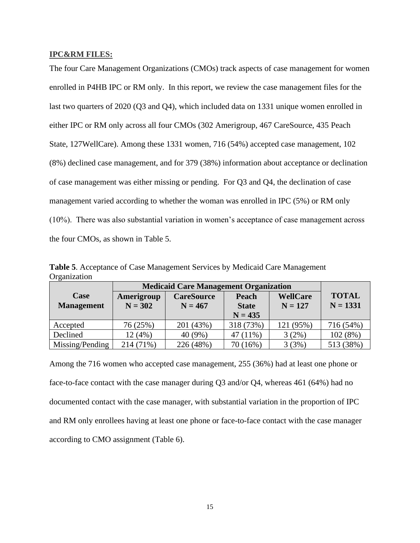# **IPC&RM FILES:**

The four Care Management Organizations (CMOs) track aspects of case management for women enrolled in P4HB IPC or RM only. In this report, we review the case management files for the last two quarters of 2020 (Q3 and Q4), which included data on 1331 unique women enrolled in either IPC or RM only across all four CMOs (302 Amerigroup, 467 CareSource, 435 Peach State, 127WellCare). Among these 1331 women, 716 (54%) accepted case management, 102 (8%) declined case management, and for 379 (38%) information about acceptance or declination of case management was either missing or pending. For Q3 and Q4, the declination of case management varied according to whether the woman was enrolled in IPC (5%) or RM only (10%). There was also substantial variation in women's acceptance of case management across the four CMOs, as shown in Table 5.

**Table 5**. Acceptance of Case Management Services by Medicaid Care Management **Organization** 

|                   | <b>Medicaid Care Management Organization</b> |                   |                           |                 |                            |
|-------------------|----------------------------------------------|-------------------|---------------------------|-----------------|----------------------------|
| Case              | Amerigroup                                   | <b>CareSource</b> | Peach                     | <b>WellCare</b> | <b>TOTAL</b><br>$N = 1331$ |
| <b>Management</b> | $N = 302$                                    | $N = 467$         | <b>State</b><br>$N = 435$ | $N = 127$       |                            |
| Accepted          | 76 (25%)                                     | 201 (43%)         | 318 (73%)                 | 121 (95%)       | 716 (54%)                  |
| Declined          | 12(4%)                                       | 40 (9%)           | 47 (11%)                  | 3(2%)           | 102(8%)                    |
| Missing/Pending   | 214 (71%)                                    | 226 (48%)         | 70 (16%)                  | 3(3%)           | 513 (38%)                  |

Among the 716 women who accepted case management, 255 (36%) had at least one phone or face-to-face contact with the case manager during Q3 and/or Q4, whereas 461 (64%) had no documented contact with the case manager, with substantial variation in the proportion of IPC and RM only enrollees having at least one phone or face-to-face contact with the case manager according to CMO assignment (Table 6).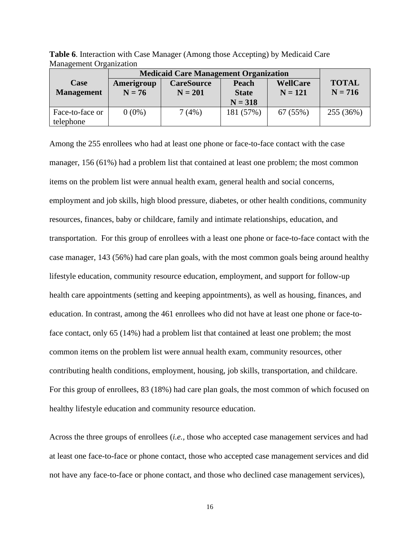**Table 6**. Interaction with Case Manager (Among those Accepting) by Medicaid Care Management Organization

|                   |            | <b>Medicaid Care Management Organization</b> |              |                 |              |  |  |  |
|-------------------|------------|----------------------------------------------|--------------|-----------------|--------------|--|--|--|
| Case              | Amerigroup | <b>CareSource</b>                            | <b>Peach</b> | <b>WellCare</b> | <b>TOTAL</b> |  |  |  |
| <b>Management</b> | $N = 76$   | $N = 201$                                    | <b>State</b> | $N = 121$       | $N = 716$    |  |  |  |
|                   |            |                                              | $N = 318$    |                 |              |  |  |  |
| Face-to-face or   | $0(0\%)$   | 7(4%)                                        | 181 (57%)    | 67 (55%)        | 255 (36%)    |  |  |  |
| telephone         |            |                                              |              |                 |              |  |  |  |

Among the 255 enrollees who had at least one phone or face-to-face contact with the case manager, 156 (61%) had a problem list that contained at least one problem; the most common items on the problem list were annual health exam, general health and social concerns, employment and job skills, high blood pressure, diabetes, or other health conditions, community resources, finances, baby or childcare, family and intimate relationships, education, and transportation. For this group of enrollees with a least one phone or face-to-face contact with the case manager, 143 (56%) had care plan goals, with the most common goals being around healthy lifestyle education, community resource education, employment, and support for follow-up health care appointments (setting and keeping appointments), as well as housing, finances, and education. In contrast, among the 461 enrollees who did not have at least one phone or face-toface contact, only 65 (14%) had a problem list that contained at least one problem; the most common items on the problem list were annual health exam, community resources, other contributing health conditions, employment, housing, job skills, transportation, and childcare. For this group of enrollees, 83 (18%) had care plan goals, the most common of which focused on healthy lifestyle education and community resource education.

Across the three groups of enrollees (*i.e.,* those who accepted case management services and had at least one face-to-face or phone contact, those who accepted case management services and did not have any face-to-face or phone contact, and those who declined case management services),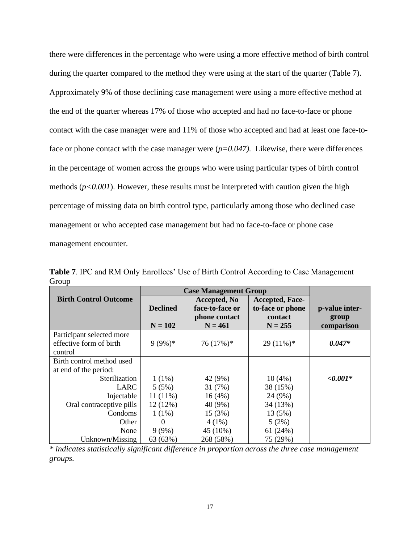there were differences in the percentage who were using a more effective method of birth control during the quarter compared to the method they were using at the start of the quarter (Table 7). Approximately 9% of those declining case management were using a more effective method at the end of the quarter whereas 17% of those who accepted and had no face-to-face or phone contact with the case manager were and 11% of those who accepted and had at least one face-toface or phone contact with the case manager were  $(p=0.047)$ . Likewise, there were differences in the percentage of women across the groups who were using particular types of birth control methods (*p<0.001*). However, these results must be interpreted with caution given the high percentage of missing data on birth control type, particularly among those who declined case management or who accepted case management but had no face-to-face or phone case management encounter.

**Table 7**. IPC and RM Only Enrollees' Use of Birth Control According to Case Management Group

|                              | <b>Case Management Group</b> |                 |                        |                |
|------------------------------|------------------------------|-----------------|------------------------|----------------|
| <b>Birth Control Outcome</b> |                              | Accepted, No    | <b>Accepted, Face-</b> |                |
|                              | <b>Declined</b>              | face-to-face or | to-face or phone       | p-value inter- |
|                              |                              | phone contact   | contact                | group          |
|                              | $N = 102$                    | $N = 461$       | $N = 255$              | comparison     |
| Participant selected more    |                              |                 |                        |                |
| effective form of birth      | $9(9\%)*$                    | $76(17%)$ *     | $29(11\%)*$            | $0.047*$       |
| control                      |                              |                 |                        |                |
| Birth control method used    |                              |                 |                        |                |
| at end of the period:        |                              |                 |                        |                |
| Sterilization                | $1(1\%)$                     | 42 (9%)         | 10(4%)                 | $< 0.001*$     |
| <b>LARC</b>                  | 5(5%)                        | 31(7%)          | 38 (15%)               |                |
| Injectable                   | $11(11\%)$                   | 16(4%)          | 24 (9%)                |                |
| Oral contraceptive pills     | 12(12%)                      | 40 (9%)         | 34 (13%)               |                |
| Condoms                      | $1(1\%)$                     | 15 (3%)         | 13 (5%)                |                |
| Other                        | $\Omega$                     | $4(1\%)$        | 5(2%)                  |                |
| None                         | $9(9\%)$                     | 45 (10%)        | 61(24%)                |                |
| Unknown/Missing              | 63 (63%)                     | 268 (58%)       | 75 (29%)               |                |

*\* indicates statistically significant difference in proportion across the three case management groups.*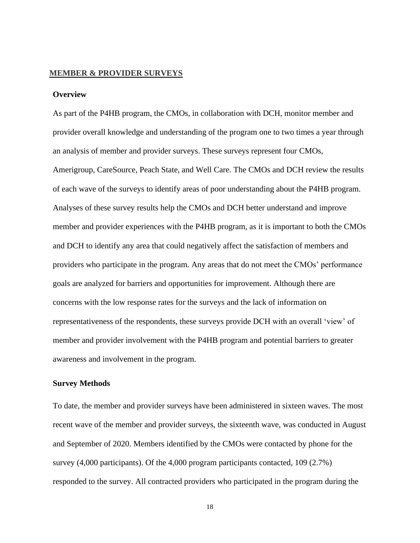# **MEMBER & PROVIDER SURVEYS**

# **Overview**

As part of the P4HB program, the CMOs, in collaboration with DCH, monitor member and provider overall knowledge and understanding of the program one to two times a year through an analysis of member and provider surveys. These surveys represent four CMOs, Amerigroup, CareSource, Peach State, and Well Care. The CMOs and DCH review the results of each wave of the surveys to identify areas of poor understanding about the P4HB program. Analyses of these survey results help the CMOs and DCH better understand and improve member and provider experiences with the P4HB program, as it is important to both the CMOs and DCH to identify any area that could negatively affect the satisfaction of members and providers who participate in the program. Any areas that do not meet the CMOs' performance goals are analyzed for barriers and opportunities for improvement. Although there are concerns with the low response rates for the surveys and the lack of information on representativeness of the respondents, these surveys provide DCH with an overall 'view' of member and provider involvement with the P4HB program and potential barriers to greater awareness and involvement in the program.

### **Survey Methods**

To date, the member and provider surveys have been administered in sixteen waves. The most recent wave of the member and provider surveys, the sixteenth wave, was conducted in August and September of 2020. Members identified by the CMOs were contacted by phone for the survey (4,000 participants). Of the 4,000 program participants contacted, 109 (2.7%) responded to the survey. All contracted providers who participated in the program during the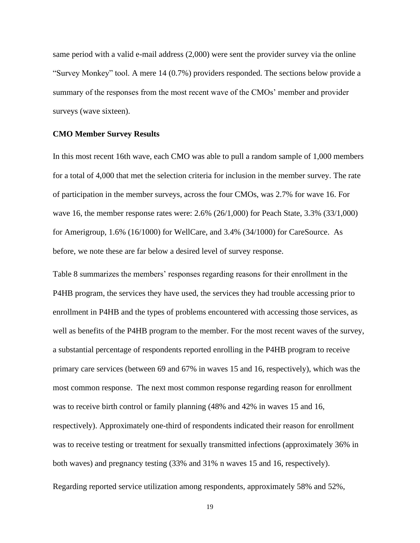same period with a valid e-mail address (2,000) were sent the provider survey via the online "Survey Monkey" tool. A mere 14 (0.7%) providers responded. The sections below provide a summary of the responses from the most recent wave of the CMOs' member and provider surveys (wave sixteen).

### **CMO Member Survey Results**

In this most recent 16th wave, each CMO was able to pull a random sample of 1,000 members for a total of 4,000 that met the selection criteria for inclusion in the member survey. The rate of participation in the member surveys, across the four CMOs, was 2.7% for wave 16. For wave 16, the member response rates were: 2.6% (26/1,000) for Peach State, 3.3% (33/1,000) for Amerigroup, 1.6% (16/1000) for WellCare, and 3.4% (34/1000) for CareSource. As before, we note these are far below a desired level of survey response.

Table 8 summarizes the members' responses regarding reasons for their enrollment in the P4HB program, the services they have used, the services they had trouble accessing prior to enrollment in P4HB and the types of problems encountered with accessing those services, as well as benefits of the P4HB program to the member. For the most recent waves of the survey, a substantial percentage of respondents reported enrolling in the P4HB program to receive primary care services (between 69 and 67% in waves 15 and 16, respectively), which was the most common response. The next most common response regarding reason for enrollment was to receive birth control or family planning (48% and 42% in waves 15 and 16, respectively). Approximately one-third of respondents indicated their reason for enrollment was to receive testing or treatment for sexually transmitted infections (approximately 36% in both waves) and pregnancy testing (33% and 31% n waves 15 and 16, respectively). Regarding reported service utilization among respondents, approximately 58% and 52%,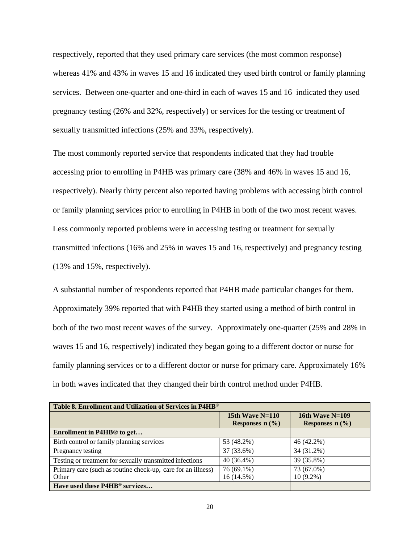respectively, reported that they used primary care services (the most common response) whereas 41% and 43% in waves 15 and 16 indicated they used birth control or family planning services. Between one-quarter and one-third in each of waves 15 and 16 indicated they used pregnancy testing (26% and 32%, respectively) or services for the testing or treatment of sexually transmitted infections (25% and 33%, respectively).

The most commonly reported service that respondents indicated that they had trouble accessing prior to enrolling in P4HB was primary care (38% and 46% in waves 15 and 16, respectively). Nearly thirty percent also reported having problems with accessing birth control or family planning services prior to enrolling in P4HB in both of the two most recent waves. Less commonly reported problems were in accessing testing or treatment for sexually transmitted infections (16% and 25% in waves 15 and 16, respectively) and pregnancy testing (13% and 15%, respectively).

A substantial number of respondents reported that P4HB made particular changes for them. Approximately 39% reported that with P4HB they started using a method of birth control in both of the two most recent waves of the survey. Approximately one-quarter (25% and 28% in waves 15 and 16, respectively) indicated they began going to a different doctor or nurse for family planning services or to a different doctor or nurse for primary care. Approximately 16% in both waves indicated that they changed their birth control method under P4HB.

| Table 8. Enrollment and Utilization of Services in P4HB®     |                   |                   |  |  |  |
|--------------------------------------------------------------|-------------------|-------------------|--|--|--|
|                                                              | 15th Wave $N=110$ | 16th Wave $N=109$ |  |  |  |
|                                                              | Responses $n$ (%) | Responses $n$ (%) |  |  |  |
| Enrollment in P4HB <sup>®</sup> to get                       |                   |                   |  |  |  |
| Birth control or family planning services                    | 53 (48.2%)        | 46 (42.2%)        |  |  |  |
| Pregnancy testing                                            | 37 (33.6%)        | 34 (31.2%)        |  |  |  |
| Testing or treatment for sexually transmitted infections     | $40(36.4\%)$      | 39 (35.8%)        |  |  |  |
| Primary care (such as routine check-up, care for an illness) | 76 (69.1%)        | 73 (67.0%)        |  |  |  |
| Other                                                        | 16 (14.5%)        | $10(9.2\%)$       |  |  |  |
| Have used these P4HB <sup>®</sup> services                   |                   |                   |  |  |  |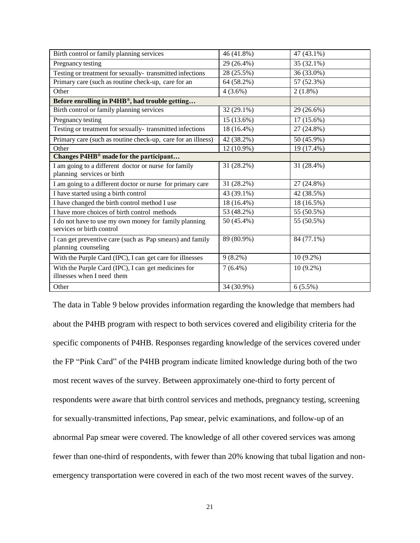| Birth control or family planning services                                          | 46 (41.8%) | 47 (43.1%)   |
|------------------------------------------------------------------------------------|------------|--------------|
| Pregnancy testing                                                                  | 29 (26.4%) | 35 (32.1%)   |
| Testing or treatment for sexually-transmitted infections                           | 28 (25.5%) | 36 (33.0%)   |
| Primary care (such as routine check-up, care for an                                | 64 (58.2%) | 57 (52.3%)   |
| Other                                                                              | $4(3.6\%)$ | $2(1.8\%)$   |
| Before enrolling in P4HB®, had trouble getting                                     |            |              |
| Birth control or family planning services                                          | 32 (29.1%) | 29 (26.6%)   |
| Pregnancy testing                                                                  | 15 (13.6%) | $17(15.6\%)$ |
| Testing or treatment for sexually-transmitted infections                           | 18 (16.4%) | 27 (24.8%)   |
| Primary care (such as routine check-up, care for an illness)                       | 42 (38.2%) | 50 (45.9%)   |
| Other                                                                              | 12 (10.9%) | 19 (17.4%)   |
| Changes P4HB <sup>®</sup> made for the participant                                 |            |              |
| I am going to a different doctor or nurse for family                               | 31 (28.2%) | 31 (28.4%)   |
| planning services or birth                                                         |            |              |
| I am going to a different doctor or nurse for primary care                         | 31 (28.2%) | 27 (24.8%)   |
| I have started using a birth control                                               | 43 (39.1%) | 42 (38.5%)   |
| I have changed the birth control method I use                                      | 18 (16.4%) | 18 (16.5%)   |
| I have more choices of birth control methods                                       | 53 (48.2%) | 55 (50.5%)   |
| I do not have to use my own money for family planning<br>services or birth control | 50 (45.4%) | 55 (50.5%)   |
| I can get preventive care (such as Pap smears) and family<br>planning counseling   | 89 (80.9%) | 84 (77.1%)   |
| With the Purple Card (IPC), I can get care for illnesses                           | $9(8.2\%)$ | $10(9.2\%)$  |
| With the Purple Card (IPC), I can get medicines for<br>illnesses when I need them  | $7(6.4\%)$ | $10(9.2\%)$  |
| Other                                                                              | 34 (30.9%) | $6(5.5\%)$   |

The data in Table 9 below provides information regarding the knowledge that members had about the P4HB program with respect to both services covered and eligibility criteria for the specific components of P4HB. Responses regarding knowledge of the services covered under the FP "Pink Card" of the P4HB program indicate limited knowledge during both of the two most recent waves of the survey. Between approximately one-third to forty percent of respondents were aware that birth control services and methods, pregnancy testing, screening for sexually-transmitted infections, Pap smear, pelvic examinations, and follow-up of an abnormal Pap smear were covered. The knowledge of all other covered services was among fewer than one-third of respondents, with fewer than 20% knowing that tubal ligation and nonemergency transportation were covered in each of the two most recent waves of the survey.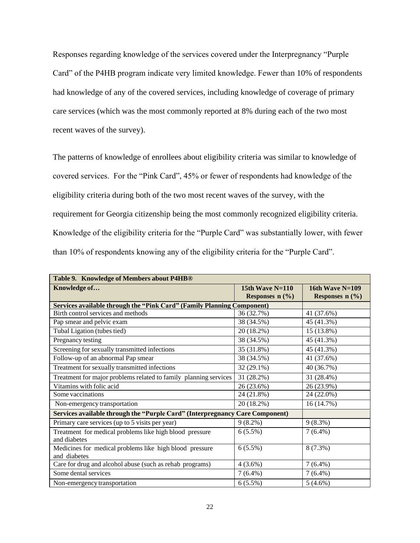Responses regarding knowledge of the services covered under the Interpregnancy "Purple Card" of the P4HB program indicate very limited knowledge. Fewer than 10% of respondents had knowledge of any of the covered services, including knowledge of coverage of primary care services (which was the most commonly reported at 8% during each of the two most recent waves of the survey).

The patterns of knowledge of enrollees about eligibility criteria was similar to knowledge of covered services. For the "Pink Card", 45% or fewer of respondents had knowledge of the eligibility criteria during both of the two most recent waves of the survey, with the requirement for Georgia citizenship being the most commonly recognized eligibility criteria. Knowledge of the eligibility criteria for the "Purple Card" was substantially lower, with fewer than 10% of respondents knowing any of the eligibility criteria for the "Purple Card".

| Table 9. Knowledge of Members about P4HB®                                     |                                        |                                        |  |  |  |  |
|-------------------------------------------------------------------------------|----------------------------------------|----------------------------------------|--|--|--|--|
| Knowledge of                                                                  | 15th Wave $N=110$<br>Responses $n$ (%) | 16th Wave $N=109$<br>Responses $n$ (%) |  |  |  |  |
| <b>Services available through the "Pink Card" (Family Planning Component)</b> |                                        |                                        |  |  |  |  |
| Birth control services and methods                                            | 36 (32.7%)                             | 41 (37.6%)                             |  |  |  |  |
| Pap smear and pelvic exam                                                     | 38 (34.5%)                             | 45 (41.3%)                             |  |  |  |  |
| Tubal Ligation (tubes tied)                                                   | 20 (18.2%)                             | 15 (13.8%)                             |  |  |  |  |
| Pregnancy testing                                                             | 38 (34.5%)                             | 45 (41.3%)                             |  |  |  |  |
| Screening for sexually transmitted infections                                 | 35 (31.8%)                             | 45 (41.3%)                             |  |  |  |  |
| Follow-up of an abnormal Pap smear                                            | 38 (34.5%)                             | 41 (37.6%)                             |  |  |  |  |
| Treatment for sexually transmitted infections                                 | 32 (29.1%)                             | 40 (36.7%)                             |  |  |  |  |
| Treatment for major problems related to family planning services              | 31 (28.2%)                             | 31 (28.4%)                             |  |  |  |  |
| Vitamins with folic acid                                                      | 26 (23.6%)                             | 26 (23.9%)                             |  |  |  |  |
| Some vaccinations                                                             | 24 (21.8%)                             | 24 (22.0%)                             |  |  |  |  |
| Non-emergency transportation                                                  | 20 (18.2%)                             | 16 (14.7%)                             |  |  |  |  |
| Services available through the "Purple Card" (Interpregnancy                  | <b>Care Component)</b>                 |                                        |  |  |  |  |
| Primary care services (up to 5 visits per year)                               | $9(8.2\%)$                             | $9(8.3\%)$                             |  |  |  |  |
| Treatment for medical problems like high blood pressure<br>and diabetes       | $6(5.5\%)$                             | $7(6.4\%)$                             |  |  |  |  |
| Medicines for medical problems like high blood pressure<br>and diabetes       | $6(5.5\%)$                             | $8(7.3\%)$                             |  |  |  |  |
| Care for drug and alcohol abuse (such as rehab programs)                      | $4(3.6\%)$                             | $7(6.4\%)$                             |  |  |  |  |
| Some dental services                                                          | $7(6.4\%)$                             | $7(6.4\%)$                             |  |  |  |  |
| Non-emergency transportation                                                  | $6(5.5\%)$                             | $5(4.6\%)$                             |  |  |  |  |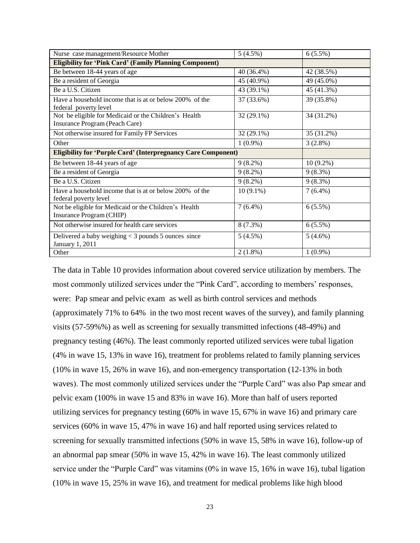| Nurse case management/Resource Mother                                                   | 5(4.5%)      | $6(5.5\%)$  |
|-----------------------------------------------------------------------------------------|--------------|-------------|
| <b>Eligibility for 'Pink Card' (Family Planning Component)</b>                          |              |             |
| Be between 18-44 years of age                                                           | 40 (36.4%)   | 42 (38.5%)  |
| Be a resident of Georgia                                                                | 45 (40.9%)   | 49 (45.0%)  |
| Be a U.S. Citizen                                                                       | 43 (39.1%)   | 45 (41.3%)  |
| Have a household income that is at or below 200% of the<br>federal poverty level        | 37 (33.6%)   | 39 (35.8%)  |
| Not be eligible for Medicaid or the Children's Health<br>Insurance Program (Peach Care) | 32 (29.1%)   | 34 (31.2%)  |
| Not otherwise insured for Family FP Services                                            | $32(29.1\%)$ | 35 (31.2%)  |
| Other                                                                                   | $1(0.9\%)$   | $3(2.8\%)$  |
| <b>Eligibility for 'Purple Card' (Interpregnancy Care Component)</b>                    |              |             |
| Be between 18-44 years of age                                                           | $9(8.2\%)$   | $10(9.2\%)$ |
| Be a resident of Georgia                                                                | $9(8.2\%)$   | $9(8.3\%)$  |
| Be a U.S. Citizen                                                                       | $9(8.2\%)$   | $9(8.3\%)$  |
| Have a household income that is at or below 200% of the<br>federal poverty level        | $10(9.1\%)$  | $7(6.4\%)$  |
| Not be eligible for Medicaid or the Children's Health<br>Insurance Program (CHIP)       | $7(6.4\%)$   | $6(5.5\%)$  |
| Not otherwise insured for health care services                                          | $8(7.3\%)$   | 6(5.5%)     |
| Delivered a baby weighing $<$ 3 pounds 5 ounces since<br>January 1, 2011                | 5(4.5%)      | $5(4.6\%)$  |
| Other                                                                                   | $2(1.8\%)$   | $1(0.9\%)$  |

The data in Table 10 provides information about covered service utilization by members. The most commonly utilized services under the "Pink Card", according to members' responses, were: Pap smear and pelvic exam as well as birth control services and methods (approximately 71% to 64% in the two most recent waves of the survey), and family planning visits (57-59%%) as well as screening for sexually transmitted infections (48-49%) and pregnancy testing (46%). The least commonly reported utilized services were tubal ligation (4% in wave 15, 13% in wave 16), treatment for problems related to family planning services (10% in wave 15, 26% in wave 16), and non-emergency transportation (12-13% in both waves). The most commonly utilized services under the "Purple Card" was also Pap smear and pelvic exam (100% in wave 15 and 83% in wave 16). More than half of users reported utilizing services for pregnancy testing (60% in wave 15, 67% in wave 16) and primary care services (60% in wave 15, 47% in wave 16) and half reported using services related to screening for sexually transmitted infections (50% in wave 15, 58% in wave 16), follow-up of an abnormal pap smear (50% in wave 15, 42% in wave 16). The least commonly utilized service under the "Purple Card" was vitamins (0% in wave 15, 16% in wave 16), tubal ligation (10% in wave 15, 25% in wave 16), and treatment for medical problems like high blood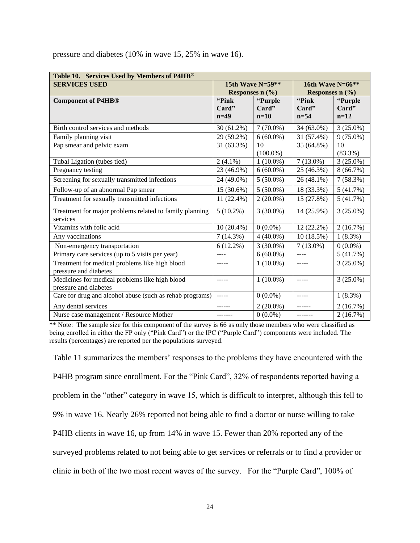| Table 10. Services Used by Members of P4HB®                         |                                           |                   |             |                   |
|---------------------------------------------------------------------|-------------------------------------------|-------------------|-------------|-------------------|
| <b>SERVICES USED</b>                                                | 15th Wave $N=59**$<br>16th Wave $N=66$ ** |                   |             |                   |
|                                                                     |                                           | Responses $n$ (%) |             | Responses $n$ (%) |
| <b>Component of P4HB®</b>                                           | "Pink"                                    | "Purple           | "Pink"      | "Purple           |
|                                                                     | Card"                                     | Card"             | Card"       | Card"             |
|                                                                     | $n=49$                                    | $n=10$            | $n=54$      | $n=12$            |
| Birth control services and methods                                  | $30(61.2\%)$                              | $7(70.0\%)$       | 34 (63.0%)  | $3(25.0\%)$       |
| Family planning visit                                               | 29 (59.2%)                                | $6(60.0\%)$       | 31 (57.4%)  | $9(75.0\%)$       |
| Pap smear and pelvic exam                                           | 31 (63.3%)                                | 10                | 35 (64.8%)  | 10                |
|                                                                     |                                           | $(100.0\%)$       |             | $(83.3\%)$        |
| Tubal Ligation (tubes tied)                                         | $2(4.1\%)$                                | $1(10.0\%)$       | $7(13.0\%)$ | $3(25.0\%)$       |
| Pregnancy testing                                                   | 23 (46.9%)                                | $6(60.0\%)$       | 25 (46.3%)  | 8(66.7%)          |
| Screening for sexually transmitted infections                       | 24 (49.0%)                                | $5(50.0\%)$       | 26 (48.1%)  | $7(58.3\%)$       |
| Follow-up of an abnormal Pap smear                                  | 15 (30.6%)                                | $5(50.0\%)$       | 18 (33.3%)  | 5(41.7%)          |
| Treatment for sexually transmitted infections                       | 11 (22.4%)                                | $2(20.0\%)$       | 15 (27.8%)  | 5(41.7%)          |
| Treatment for major problems related to family planning<br>services | $5(10.2\%)$                               | $3(30.0\%)$       | 14 (25.9%)  | $3(25.0\%)$       |
| Vitamins with folic acid                                            | $10(20.4\%)$                              | $0(0.0\%)$        | 12 (22.2%)  | 2(16.7%)          |
| Any vaccinations                                                    | $7(14.3\%)$                               | $4(40.0\%)$       | 10(18.5%)   | $1(8.3\%)$        |
| Non-emergency transportation                                        | $6(12.2\%)$                               | $3(30.0\%)$       | $7(13.0\%)$ | $0(0.0\%)$        |
| Primary care services (up to 5 visits per year)                     | ----                                      | $6(60.0\%)$       | ----        | 5(41.7%)          |
| Treatment for medical problems like high blood                      |                                           | $1(10.0\%)$       |             | $3(25.0\%)$       |
| pressure and diabetes                                               |                                           |                   |             |                   |
| Medicines for medical problems like high blood                      | -----                                     | $1(10.0\%)$       | $- - - - -$ | $3(25.0\%)$       |
| pressure and diabetes                                               |                                           |                   |             |                   |
| Care for drug and alcohol abuse (such as rehab programs)            | $- - - - -$                               | $0(0.0\%)$        | $- - - - -$ | $1(8.3\%)$        |
| Any dental services                                                 |                                           | $2(20.0\%)$       |             | 2(16.7%)          |
| Nurse case management / Resource Mother                             |                                           | $0(0.0\%)$        |             | 2(16.7%)          |

pressure and diabetes (10% in wave 15, 25% in wave 16).

\*\* Note: The sample size for this component of the survey is 66 as only those members who were classified as being enrolled in either the FP only ("Pink Card") or the IPC ("Purple Card") components were included. The results (percentages) are reported per the populations surveyed.

Table 11 summarizes the members' responses to the problems they have encountered with the P4HB program since enrollment. For the "Pink Card", 32% of respondents reported having a problem in the "other" category in wave 15, which is difficult to interpret, although this fell to 9% in wave 16. Nearly 26% reported not being able to find a doctor or nurse willing to take P4HB clients in wave 16, up from 14% in wave 15. Fewer than 20% reported any of the surveyed problems related to not being able to get services or referrals or to find a provider or clinic in both of the two most recent waves of the survey. For the "Purple Card", 100% of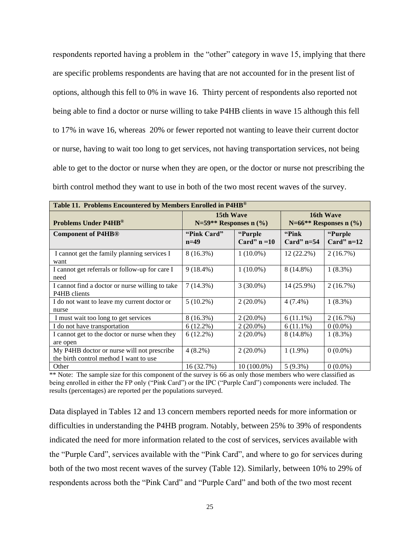respondents reported having a problem in the "other" category in wave 15, implying that there are specific problems respondents are having that are not accounted for in the present list of options, although this fell to 0% in wave 16. Thirty percent of respondents also reported not being able to find a doctor or nurse willing to take P4HB clients in wave 15 although this fell to 17% in wave 16, whereas 20% or fewer reported not wanting to leave their current doctor or nurse, having to wait too long to get services, not having transportation services, not being able to get to the doctor or nurse when they are open, or the doctor or nurse not prescribing the birth control method they want to use in both of the two most recent waves of the survey.

| Table 11. Problems Encountered by Members Enrolled in P4HB®                          |                                          |                           |                        |                                            |
|--------------------------------------------------------------------------------------|------------------------------------------|---------------------------|------------------------|--------------------------------------------|
| <b>Problems Under P4HB</b> <sup>®</sup>                                              | 15th Wave<br>$N=59**$ Responses n $(\%)$ |                           |                        | 16th Wave<br>$N=66$ ** Responses n $(\% )$ |
| <b>Component of P4HB<sup>®</sup></b>                                                 | "Pink Card"<br>$n=49$                    | "Purple<br>Card" $n = 10$ | "Pink"<br>Card" $n=54$ | "Purple<br>Card" $n=12$                    |
| I cannot get the family planning services I<br>want                                  | 8 (16.3%)                                | $1(10.0\%)$               | $12(22.2\%)$           | 2(16.7%)                                   |
| I cannot get referrals or follow-up for care I<br>need                               | $9(18.4\%)$                              | $1(10.0\%)$               | 8 (14.8%)              | $1(8.3\%)$                                 |
| I cannot find a doctor or nurse willing to take<br>P4HB clients                      | 7(14.3%)                                 | $3(30.0\%)$               | 14 (25.9%)             | 2(16.7%)                                   |
| I do not want to leave my current doctor or<br>nurse                                 | $5(10.2\%)$                              | $2(20.0\%)$               | $4(7.4\%)$             | $1(8.3\%)$                                 |
| I must wait too long to get services                                                 | $8(16.3\%)$                              | $2(20.0\%)$               | $6(11.1\%)$            | 2(16.7%)                                   |
| I do not have transportation                                                         | $6(12.2\%)$                              | $2(20.0\%)$               | $6(11.1\%)$            | $0(0.0\%)$                                 |
| I cannot get to the doctor or nurse when they<br>are open                            | $6(12.2\%)$                              | $2(20.0\%)$               | 8 (14.8%)              | $1(8.3\%)$                                 |
| My P4HB doctor or nurse will not prescribe<br>the birth control method I want to use | $4(8.2\%)$                               | $2(20.0\%)$               | $1(1.9\%)$             | $0(0.0\%)$                                 |
| Other                                                                                | 16 (32.7%)                               | $10(100.0\%)$             | $5(9.3\%)$             | $0(0.0\%)$                                 |

\*\* Note: The sample size for this component of the survey is 66 as only those members who were classified as being enrolled in either the FP only ("Pink Card") or the IPC ("Purple Card") components were included. The results (percentages) are reported per the populations surveyed.

Data displayed in Tables 12 and 13 concern members reported needs for more information or difficulties in understanding the P4HB program. Notably, between 25% to 39% of respondents indicated the need for more information related to the cost of services, services available with the "Purple Card", services available with the "Pink Card", and where to go for services during both of the two most recent waves of the survey (Table 12). Similarly, between 10% to 29% of respondents across both the "Pink Card" and "Purple Card" and both of the two most recent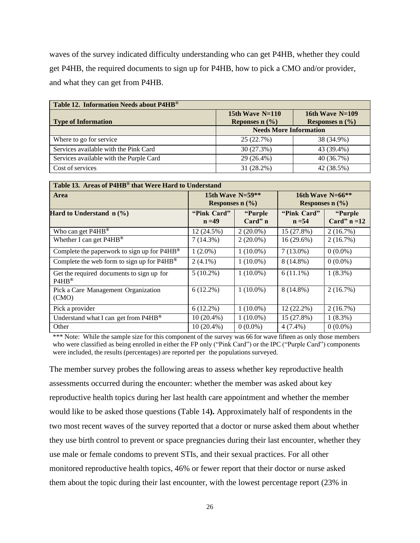waves of the survey indicated difficulty understanding who can get P4HB, whether they could get P4HB, the required documents to sign up for P4HB, how to pick a CMO and/or provider, and what they can get from P4HB.

| Table 12. Information Needs about P4HB® |                                                   |                                        |  |  |
|-----------------------------------------|---------------------------------------------------|----------------------------------------|--|--|
| <b>Type of Information</b>              | 15th Wave $N=110$<br>Reponses $n$ $(\frac{9}{6})$ | 16th Wave $N=109$<br>Responses $n$ (%) |  |  |
|                                         | <b>Needs More Information</b>                     |                                        |  |  |
| Where to go for service                 | 25 (22.7%)                                        | 38 (34.9%)                             |  |  |
| Services available with the Pink Card   | 30 (27.3%)                                        | 43 (39.4%)                             |  |  |
| Services available with the Purple Card | 29 (26.4%)                                        | 40 (36.7%)                             |  |  |
| Cost of services                        | 31 (28.2%)                                        | 42 (38.5%)                             |  |  |

| Table 13. Areas of P4HB® that Were Hard to Understand  |                                             |                      |                                              |                            |
|--------------------------------------------------------|---------------------------------------------|----------------------|----------------------------------------------|----------------------------|
| Area                                                   | 15th Wave $N=59**$<br>Responses $n$ $(\% )$ |                      | 16th Wave $N=66$ **<br>Responses $n$ $(\% )$ |                            |
| Hard to Understand $n$ (%)                             | "Pink Card"<br>$n = 49$                     | "Purple<br>$Card"$ n | "Pink Card"<br>$n = 54$                      | "Purple"<br>Card" $n = 12$ |
| Who can get P4HB <sup>®</sup>                          | 12 (24.5%)                                  | $2(20.0\%)$          | 15 (27.8%)                                   | 2(16.7%)                   |
| Whether I can get P4HB <sup>®</sup>                    | 7(14.3%)                                    | $2(20.0\%)$          | $16(29.6\%)$                                 | 2(16.7%)                   |
| Complete the paperwork to sign up for P4HB®            | $1(2.0\%)$                                  | $1(10.0\%)$          | $7(13.0\%)$                                  | $0(0.0\%)$                 |
| Complete the web form to sign up for P4HB <sup>®</sup> | $2(4.1\%)$                                  | $1(10.0\%)$          | 8 (14.8%)                                    | $0(0.0\%)$                 |
| Get the required documents to sign up for<br>$PAHB^@$  | $5(10.2\%)$                                 | $1(10.0\%)$          | $6(11.1\%)$                                  | $1(8.3\%)$                 |
| Pick a Care Management Organization<br>(CMO)           | $6(12.2\%)$                                 | $1(10.0\%)$          | 8 (14.8%)                                    | 2(16.7%)                   |
| Pick a provider                                        | $6(12.2\%)$                                 | $1(10.0\%)$          | $12(22.2\%)$                                 | 2(16.7%)                   |
| Understand what I can get from P4HB <sup>®</sup>       | $10(20.4\%)$                                | $1(10.0\%)$          | 15 (27.8%)                                   | $1(8.3\%)$                 |
| Other                                                  | $10(20.4\%)$                                | $0(0.0\%)$           | $4(7.4\%)$                                   | $0(0.0\%)$                 |

\*\*\* Note: While the sample size for this component of the survey was 66 for wave fifteen as only those members who were classified as being enrolled in either the FP only ("Pink Card") or the IPC ("Purple Card") components were included, the results (percentages) are reported per the populations surveyed.

The member survey probes the following areas to assess whether key reproductive health assessments occurred during the encounter: whether the member was asked about key reproductive health topics during her last health care appointment and whether the member would like to be asked those questions (Table 14**).** Approximately half of respondents in the two most recent waves of the survey reported that a doctor or nurse asked them about whether they use birth control to prevent or space pregnancies during their last encounter, whether they use male or female condoms to prevent STIs, and their sexual practices. For all other monitored reproductive health topics, 46% or fewer report that their doctor or nurse asked them about the topic during their last encounter, with the lowest percentage report (23% in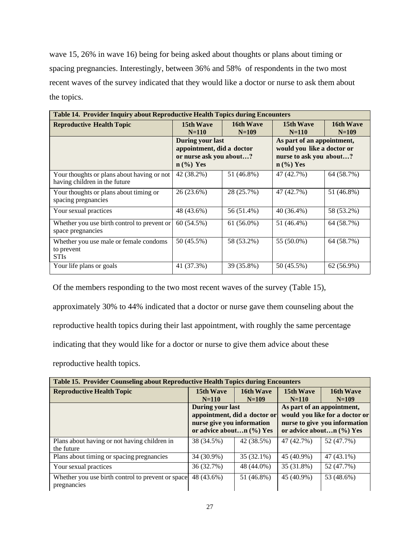wave 15, 26% in wave 16) being for being asked about thoughts or plans about timing or spacing pregnancies. Interestingly, between 36% and 58% of respondents in the two most recent waves of the survey indicated that they would like a doctor or nurse to ask them about the topics.

| <b>Table 14. Provider Inquiry about Reproductive Health Topics during Encounters</b> |                                                                                                |                      |                        |                      |                                                                                                                         |  |
|--------------------------------------------------------------------------------------|------------------------------------------------------------------------------------------------|----------------------|------------------------|----------------------|-------------------------------------------------------------------------------------------------------------------------|--|
| <b>Reproductive Health Topic</b>                                                     | <b>15th Wave</b><br>$N = 110$                                                                  | 16th Wave<br>$N=109$ | 15th Wave<br>$N = 110$ | 16th Wave<br>$N=109$ |                                                                                                                         |  |
|                                                                                      | <b>During your last</b><br>appointment, did a doctor<br>or nurse ask you about?<br>$n$ (%) Yes |                      |                        |                      | As part of an appointment,<br>would you like a doctor or<br>nurse to ask you about?<br>$n \left(\frac{9}{6}\right)$ Yes |  |
| Your thoughts or plans about having or not<br>having children in the future          | 42 (38.2%)                                                                                     | 51 (46.8%)           | 47 (42.7%)             | 64 (58.7%)           |                                                                                                                         |  |
| Your thoughts or plans about timing or<br>spacing pregnancies                        | 26 (23.6%)                                                                                     | 28 (25.7%)           | 47 (42.7%)             | 51 (46.8%)           |                                                                                                                         |  |
| Your sexual practices                                                                | 48 (43.6%)                                                                                     | 56 (51.4%)           | 40 (36.4%)             | 58 (53.2%)           |                                                                                                                         |  |
| Whether you use birth control to prevent or<br>space pregnancies                     | 60 (54.5%)                                                                                     | $61(56.0\%)$         | 51 (46.4%)             | 64 (58.7%)           |                                                                                                                         |  |
| Whether you use male or female condoms<br>to prevent<br><b>STIs</b>                  | 50 (45.5%)                                                                                     | 58 (53.2%)           | 55 (50.0%)             | 64 (58.7%)           |                                                                                                                         |  |
| Your life plans or goals                                                             | 41 (37.3%)                                                                                     | 39 (35.8%)           | 50 (45.5%)             | $62(56.9\%)$         |                                                                                                                         |  |

Of the members responding to the two most recent waves of the survey (Table 15),

approximately 30% to 44% indicated that a doctor or nurse gave them counseling about the

reproductive health topics during their last appointment, with roughly the same percentage

indicating that they would like for a doctor or nurse to give them advice about these

reproductive health topics.

| <b>Table 15. Provider Counseling about Reproductive Health Topics during Encounters</b> |                                                                                                                       |              |            |                                                                                                                           |
|-----------------------------------------------------------------------------------------|-----------------------------------------------------------------------------------------------------------------------|--------------|------------|---------------------------------------------------------------------------------------------------------------------------|
| <b>Reproductive Health Topic</b>                                                        | 15th Wave                                                                                                             | 16th Wave    | 15th Wave  | 16th Wave                                                                                                                 |
|                                                                                         | $N = 110$                                                                                                             | $N=109$      | $N = 110$  | $N=109$                                                                                                                   |
|                                                                                         | <b>During your last</b><br>appointment, did a doctor or<br>nurse give you information<br>or advice aboutn $(\% )$ Yes |              |            | As part of an appointment,<br>would you like for a doctor or<br>nurse to give you information<br>or advice aboutn (%) Yes |
| Plans about having or not having children in<br>the future                              | 38 (34.5%)                                                                                                            | 42 (38.5%)   | 47 (42.7%) | 52 (47.7%)                                                                                                                |
| Plans about timing or spacing pregnancies                                               | 34 (30.9%)                                                                                                            | $35(32.1\%)$ | 45 (40.9%) | 47 (43.1%)                                                                                                                |
| Your sexual practices                                                                   | 36 (32.7%)                                                                                                            | 48 (44.0%)   | 35 (31.8%) | 52 (47.7%)                                                                                                                |
| Whether you use birth control to prevent or space<br>pregnancies                        | 48 (43.6%)                                                                                                            | 51 (46.8%)   | 45 (40.9%) | 53 (48.6%)                                                                                                                |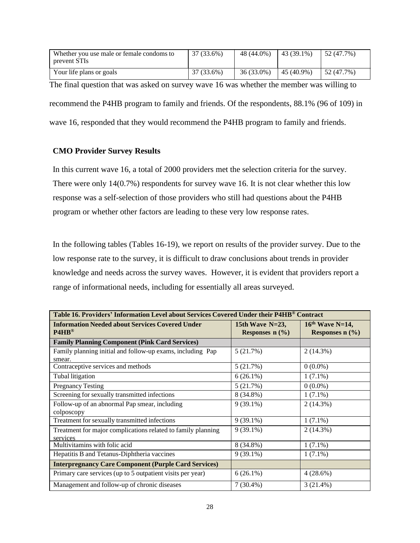| Whether you use male or female condoms to<br>prevent STIs | 37 (33.6%) | 48 (44.0%) | 43 (39.1%)   | 152(47.7%)       |
|-----------------------------------------------------------|------------|------------|--------------|------------------|
| Your life plans or goals                                  | 37 (33.6%) | 36 (33.0%) | $45(40.9\%)$ | $\pm$ 52 (47.7%) |

The final question that was asked on survey wave 16 was whether the member was willing to recommend the P4HB program to family and friends. Of the respondents, 88.1% (96 of 109) in wave 16, responded that they would recommend the P4HB program to family and friends.

# **CMO Provider Survey Results**

In this current wave 16, a total of 2000 providers met the selection criteria for the survey. There were only 14(0.7%) respondents for survey wave 16. It is not clear whether this low response was a self-selection of those providers who still had questions about the P4HB program or whether other factors are leading to these very low response rates.

In the following tables (Tables 16-19), we report on results of the provider survey. Due to the low response rate to the survey, it is difficult to draw conclusions about trends in provider knowledge and needs across the survey waves. However, it is evident that providers report a range of informational needs, including for essentially all areas surveyed.

| Table 16. Providers' Information Level about Services Covered Under their P4HB® Contract |                                         |                                        |  |  |
|------------------------------------------------------------------------------------------|-----------------------------------------|----------------------------------------|--|--|
| <b>Information Needed about Services Covered Under</b><br>$PAHB^@$                       | 15th Wave $N=23$ ,<br>Responses $n$ (%) | $16th$ Wave N=14,<br>Responses $n$ (%) |  |  |
| <b>Family Planning Component (Pink Card Services)</b>                                    |                                         |                                        |  |  |
| Family planning initial and follow-up exams, including Pap                               | 5(21.7%)                                | $2(14.3\%)$                            |  |  |
| smear.                                                                                   |                                         |                                        |  |  |
| Contraceptive services and methods                                                       | 5(21.7%)                                | $0(0.0\%)$                             |  |  |
| Tubal litigation                                                                         | $6(26.1\%)$                             | $1(7.1\%)$                             |  |  |
| <b>Pregnancy Testing</b>                                                                 | 5(21.7%)                                | $0(0.0\%)$                             |  |  |
| Screening for sexually transmitted infections                                            | 8 (34.8%)                               | $1(7.1\%)$                             |  |  |
| Follow-up of an abnormal Pap smear, including                                            | $9(39.1\%)$                             | $2(14.3\%)$                            |  |  |
| colposcopy                                                                               |                                         |                                        |  |  |
| Treatment for sexually transmitted infections                                            | $9(39.1\%)$                             | $1(7.1\%)$                             |  |  |
| Treatment for major complications related to family planning                             | $9(39.1\%)$                             | $2(14.3\%)$                            |  |  |
| services                                                                                 |                                         |                                        |  |  |
| Multivitamins with folic acid                                                            | 8 (34.8%)                               | $1(7.1\%)$                             |  |  |
| Hepatitis B and Tetanus-Diphtheria vaccines                                              | $9(39.1\%)$                             | $1(7.1\%)$                             |  |  |
| <b>Interpregnancy Care Component (Purple Card Services)</b>                              |                                         |                                        |  |  |
| Primary care services (up to 5 outpatient visits per year)                               | $6(26.1\%)$                             | 4(28.6%)                               |  |  |
| Management and follow-up of chronic diseases                                             | $7(30.4\%)$                             | $3(21.4\%)$                            |  |  |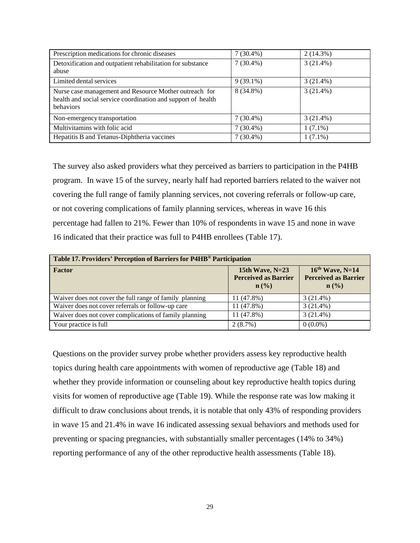| Prescription medications for chronic diseases                                                                                              | $7(30.4\%)$ | $2(14.3\%)$ |
|--------------------------------------------------------------------------------------------------------------------------------------------|-------------|-------------|
| Detoxification and outpatient rehabilitation for substance<br>abuse                                                                        | $7(30.4\%)$ | $3(21.4\%)$ |
| Limited dental services                                                                                                                    | $9(39.1\%)$ | $3(21.4\%)$ |
| Nurse case management and Resource Mother outreach for<br>health and social service coordination and support of health<br><b>behaviors</b> | 8 (34.8%)   | 3(21.4%)    |
| Non-emergency transportation                                                                                                               | $7(30.4\%)$ | $3(21.4\%)$ |
| Multivitamins with folic acid                                                                                                              | $7(30.4\%)$ | $1(7.1\%)$  |
| Hepatitis B and Tetanus-Diphtheria vaccines                                                                                                | $7(30.4\%)$ | $1(7.1\%)$  |

The survey also asked providers what they perceived as barriers to participation in the P4HB program. In wave 15 of the survey, nearly half had reported barriers related to the waiver not covering the full range of family planning services, not covering referrals or follow-up care, or not covering complications of family planning services, whereas in wave 16 this percentage had fallen to 21%. Fewer than 10% of respondents in wave 15 and none in wave 16 indicated that their practice was full to P4HB enrollees (Table 17).

| Table 17. Providers' Perception of Barriers for P4HB® Participation |                                                                      |                                                                      |  |  |
|---------------------------------------------------------------------|----------------------------------------------------------------------|----------------------------------------------------------------------|--|--|
| Factor                                                              | 15th Wave, $N=23$<br><b>Perceived as Barrier</b><br>$\mathbf{n}(\%)$ | $16th$ Wave, N=14<br><b>Perceived as Barrier</b><br>$\mathbf{n}(\%)$ |  |  |
| Waiver does not cover the full range of family planning             | 11 (47.8%)                                                           | $3(21.4\%)$                                                          |  |  |
| Waiver does not cover referrals or follow-up care                   | 11 (47.8%)                                                           | $3(21.4\%)$                                                          |  |  |
| Waiver does not cover complications of family planning              | 11 (47.8%)                                                           | $3(21.4\%)$                                                          |  |  |
| Your practice is full                                               | 2(8.7%)                                                              | $0(0.0\%)$                                                           |  |  |

Questions on the provider survey probe whether providers assess key reproductive health topics during health care appointments with women of reproductive age (Table 18) and whether they provide information or counseling about key reproductive health topics during visits for women of reproductive age (Table 19). While the response rate was low making it difficult to draw conclusions about trends, it is notable that only 43% of responding providers in wave 15 and 21.4% in wave 16 indicated assessing sexual behaviors and methods used for preventing or spacing pregnancies, with substantially smaller percentages (14% to 34%) reporting performance of any of the other reproductive health assessments (Table 18).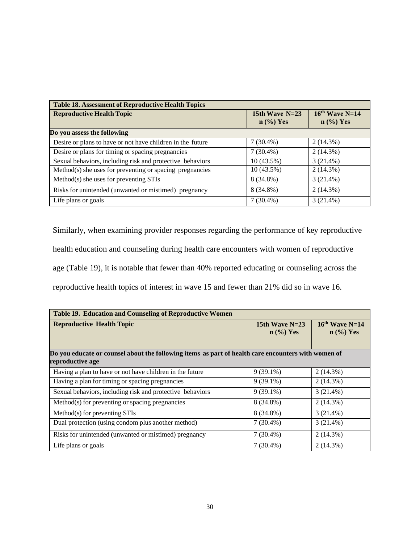| <b>Table 18. Assessment of Reproductive Health Topics</b>  |                                 |                                 |  |  |
|------------------------------------------------------------|---------------------------------|---------------------------------|--|--|
| <b>Reproductive Health Topic</b>                           | 15th Wave $N=23$<br>$n$ (%) Yes | $16th$ Wave N=14<br>$n$ (%) Yes |  |  |
| Do you assess the following                                |                                 |                                 |  |  |
| Desire or plans to have or not have children in the future | $7(30.4\%)$                     | 2(14.3%)                        |  |  |
| Desire or plans for timing or spacing pregnancies          | $7(30.4\%)$                     | $2(14.3\%)$                     |  |  |
| Sexual behaviors, including risk and protective behaviors  | 10(43.5%)                       | $3(21.4\%)$                     |  |  |
| Method(s) she uses for preventing or spacing pregnancies   | 10(43.5%)                       | 2(14.3%)                        |  |  |
| Method(s) she uses for preventing STIs                     | 8 (34.8%)                       | $3(21.4\%)$                     |  |  |
| Risks for unintended (unwanted or mistimed) pregnancy      | 8 (34.8%)                       | 2(14.3%)                        |  |  |
| Life plans or goals                                        | $7(30.4\%)$                     | $3(21.4\%)$                     |  |  |

Similarly, when examining provider responses regarding the performance of key reproductive health education and counseling during health care encounters with women of reproductive age (Table 19), it is notable that fewer than 40% reported educating or counseling across the reproductive health topics of interest in wave 15 and fewer than 21% did so in wave 16.

| Table 19. Education and Counseling of Reproductive Women                                                                |                                 |                                 |  |  |
|-------------------------------------------------------------------------------------------------------------------------|---------------------------------|---------------------------------|--|--|
| <b>Reproductive Health Topic</b>                                                                                        | 15th Wave $N=23$<br>$n$ (%) Yes | $16th$ Wave N=14<br>$n$ (%) Yes |  |  |
| Do you educate or counsel about the following items as part of health care encounters with women of<br>reproductive age |                                 |                                 |  |  |
| Having a plan to have or not have children in the future                                                                | $9(39.1\%)$                     | $2(14.3\%)$                     |  |  |
| Having a plan for timing or spacing pregnancies                                                                         | $9(39.1\%)$                     | 2(14.3%)                        |  |  |
| Sexual behaviors, including risk and protective behaviors                                                               | $9(39.1\%)$                     | $3(21.4\%)$                     |  |  |
| Method(s) for preventing or spacing pregnancies                                                                         | 8 (34.8%)                       | 2(14.3%)                        |  |  |
| $Method(s)$ for preventing STIs                                                                                         | 8 (34.8%)                       | 3(21.4%)                        |  |  |
| Dual protection (using condom plus another method)                                                                      | $7(30.4\%)$                     | $3(21.4\%)$                     |  |  |
| Risks for unintended (unwanted or mistimed) pregnancy                                                                   | $7(30.4\%)$                     | 2(14.3%)                        |  |  |
| Life plans or goals                                                                                                     | $7(30.4\%)$                     | $2(14.3\%)$                     |  |  |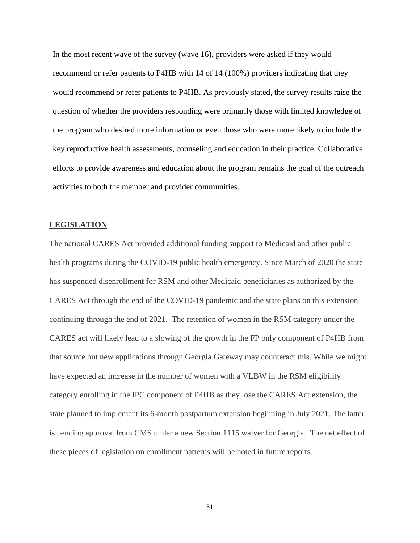In the most recent wave of the survey (wave 16), providers were asked if they would recommend or refer patients to P4HB with 14 of 14 (100%) providers indicating that they would recommend or refer patients to P4HB. As previously stated, the survey results raise the question of whether the providers responding were primarily those with limited knowledge of the program who desired more information or even those who were more likely to include the key reproductive health assessments, counseling and education in their practice. Collaborative efforts to provide awareness and education about the program remains the goal of the outreach activities to both the member and provider communities.

### **LEGISLATION**

The national CARES Act provided additional funding support to Medicaid and other public health programs during the COVID-19 public health emergency. Since March of 2020 the state has suspended disenrollment for RSM and other Medicaid beneficiaries as authorized by the CARES Act through the end of the COVID-19 pandemic and the state plans on this extension continuing through the end of 2021. The retention of women in the RSM category under the CARES act will likely lead to a slowing of the growth in the FP only component of P4HB from that source but new applications through Georgia Gateway may counteract this. While we might have expected an increase in the number of women with a VLBW in the RSM eligibility category enrolling in the IPC component of P4HB as they lose the CARES Act extension, the state planned to implement its 6-month postpartum extension beginning in July 2021. The latter is pending approval from CMS under a new Section 1115 waiver for Georgia. The net effect of these pieces of legislation on enrollment patterns will be noted in future reports.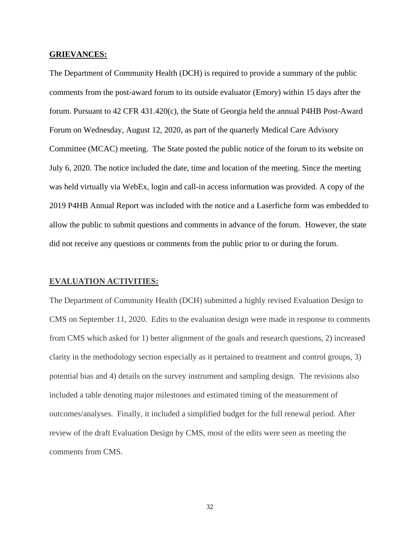### **GRIEVANCES:**

The Department of Community Health (DCH) is required to provide a summary of the public comments from the post-award forum to its outside evaluator (Emory) within 15 days after the forum. Pursuant to 42 CFR 431.420(c), the State of Georgia held the annual P4HB Post-Award Forum on Wednesday, August 12, 2020, as part of the quarterly Medical Care Advisory Committee (MCAC) meeting. The State posted the public notice of the forum to its website on July 6, 2020. The notice included the date, time and location of the meeting. Since the meeting was held virtually via WebEx, login and call-in access information was provided. A copy of the 2019 P4HB Annual Report was included with the notice and a Laserfiche form was embedded to allow the public to submit questions and comments in advance of the forum. However, the state did not receive any questions or comments from the public prior to or during the forum.

# **EVALUATION ACTIVITIES:**

The Department of Community Health (DCH) submitted a highly revised Evaluation Design to CMS on September 11, 2020. Edits to the evaluation design were made in response to comments from CMS which asked for 1) better alignment of the goals and research questions, 2) increased clarity in the methodology section especially as it pertained to treatment and control groups, 3) potential bias and 4) details on the survey instrument and sampling design. The revisions also included a table denoting major milestones and estimated timing of the measurement of outcomes/analyses. Finally, it included a simplified budget for the full renewal period. After review of the draft Evaluation Design by CMS, most of the edits were seen as meeting the comments from CMS.